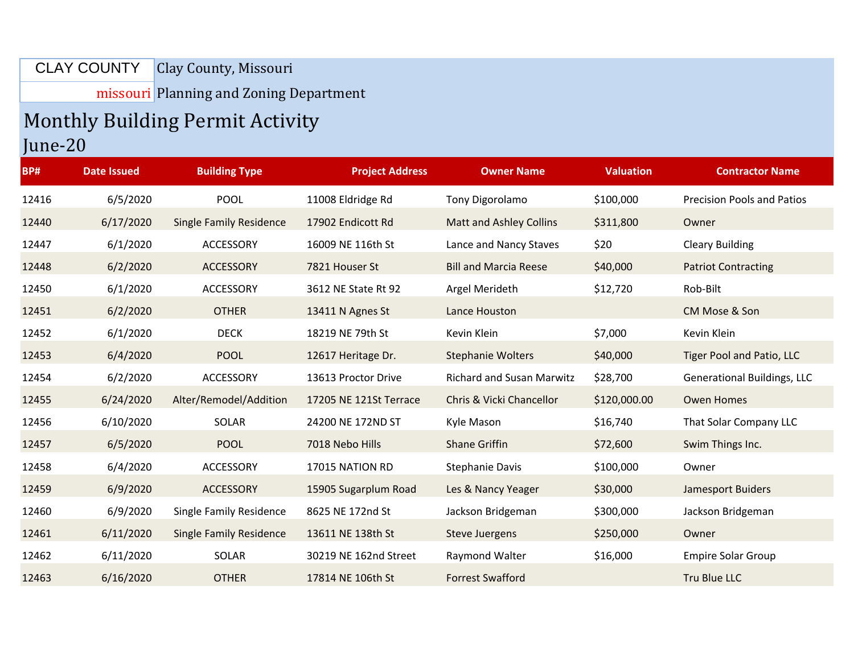## Clay County, Missouri CLAY COUNTY

missouri Planning and Zoning Department

## Monthly Building Permit Activity

## June-20

| <b>BP#</b> | <b>Date Issued</b> | <b>Building Type</b>           | <b>Project Address</b> | <b>Owner Name</b>                | <b>Valuation</b> | <b>Contractor Name</b>             |
|------------|--------------------|--------------------------------|------------------------|----------------------------------|------------------|------------------------------------|
| 12416      | 6/5/2020           | <b>POOL</b>                    | 11008 Eldridge Rd      | Tony Digorolamo                  | \$100,000        | <b>Precision Pools and Patios</b>  |
| 12440      | 6/17/2020          | <b>Single Family Residence</b> | 17902 Endicott Rd      | Matt and Ashley Collins          | \$311,800        | Owner                              |
| 12447      | 6/1/2020           | <b>ACCESSORY</b>               | 16009 NE 116th St      | Lance and Nancy Staves           | \$20             | <b>Cleary Building</b>             |
| 12448      | 6/2/2020           | <b>ACCESSORY</b>               | 7821 Houser St         | <b>Bill and Marcia Reese</b>     | \$40,000         | <b>Patriot Contracting</b>         |
| 12450      | 6/1/2020           | <b>ACCESSORY</b>               | 3612 NE State Rt 92    | Argel Merideth                   | \$12,720         | Rob-Bilt                           |
| 12451      | 6/2/2020           | <b>OTHER</b>                   | 13411 N Agnes St       | Lance Houston                    |                  | CM Mose & Son                      |
| 12452      | 6/1/2020           | <b>DECK</b>                    | 18219 NE 79th St       | Kevin Klein                      | \$7,000          | Kevin Klein                        |
| 12453      | 6/4/2020           | <b>POOL</b>                    | 12617 Heritage Dr.     | <b>Stephanie Wolters</b>         | \$40,000         | Tiger Pool and Patio, LLC          |
| 12454      | 6/2/2020           | ACCESSORY                      | 13613 Proctor Drive    | <b>Richard and Susan Marwitz</b> | \$28,700         | <b>Generational Buildings, LLC</b> |
| 12455      | 6/24/2020          | Alter/Remodel/Addition         | 17205 NE 121St Terrace | Chris & Vicki Chancellor         | \$120,000.00     | <b>Owen Homes</b>                  |
| 12456      | 6/10/2020          | SOLAR                          | 24200 NE 172ND ST      | Kyle Mason                       | \$16,740         | That Solar Company LLC             |
| 12457      | 6/5/2020           | <b>POOL</b>                    | 7018 Nebo Hills        | <b>Shane Griffin</b>             | \$72,600         | Swim Things Inc.                   |
| 12458      | 6/4/2020           | ACCESSORY                      | 17015 NATION RD        | <b>Stephanie Davis</b>           | \$100,000        | Owner                              |
| 12459      | 6/9/2020           | <b>ACCESSORY</b>               | 15905 Sugarplum Road   | Les & Nancy Yeager               | \$30,000         | Jamesport Buiders                  |
| 12460      | 6/9/2020           | <b>Single Family Residence</b> | 8625 NE 172nd St       | Jackson Bridgeman                | \$300,000        | Jackson Bridgeman                  |
| 12461      | 6/11/2020          | <b>Single Family Residence</b> | 13611 NE 138th St      | <b>Steve Juergens</b>            | \$250,000        | Owner                              |
| 12462      | 6/11/2020          | <b>SOLAR</b>                   | 30219 NE 162nd Street  | Raymond Walter                   | \$16,000         | <b>Empire Solar Group</b>          |
| 12463      | 6/16/2020          | <b>OTHER</b>                   | 17814 NE 106th St      | <b>Forrest Swafford</b>          |                  | Tru Blue LLC                       |